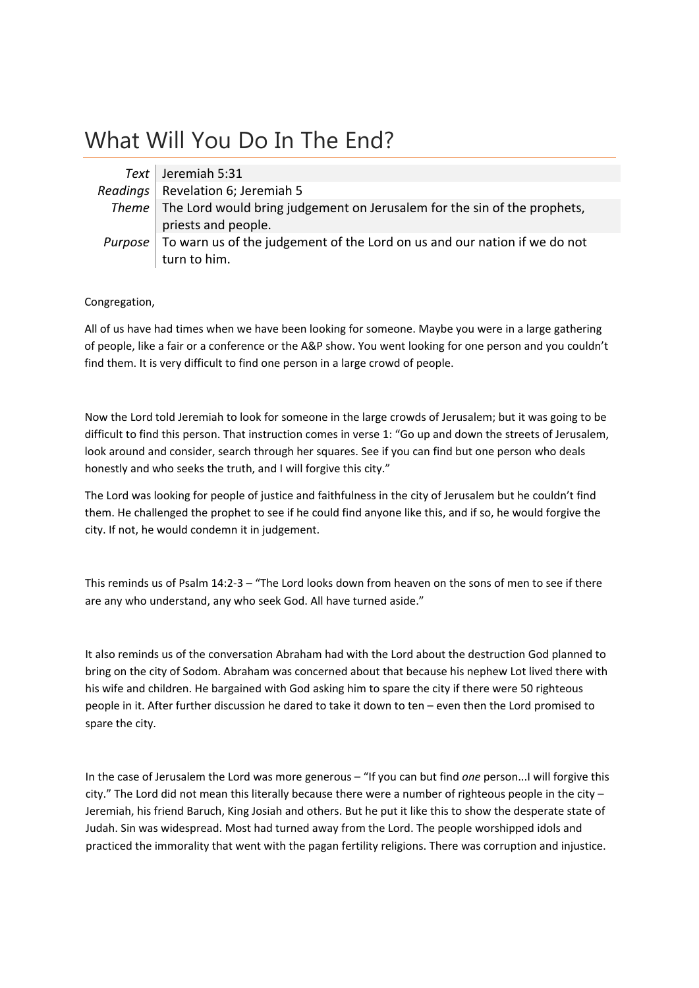# What Will You Do In The End?

| Text Jeremiah 5:31                                                                       |
|------------------------------------------------------------------------------------------|
| Readings   Revelation 6; Jeremiah 5                                                      |
| Theme   The Lord would bring judgement on Jerusalem for the sin of the prophets,         |
| priests and people.                                                                      |
| <i>Purpose</i> To warn us of the judgement of the Lord on us and our nation if we do not |
| turn to him.                                                                             |

Congregation,

All of us have had times when we have been looking for someone. Maybe you were in a large gathering of people, like a fair or a conference or the A&P show. You went looking for one person and you couldn't find them. It is very difficult to find one person in a large crowd of people.

Now the Lord told Jeremiah to look for someone in the large crowds of Jerusalem; but it was going to be difficult to find this person. That instruction comes in verse 1: "Go up and down the streets of Jerusalem, look around and consider, search through her squares. See if you can find but one person who deals honestly and who seeks the truth, and I will forgive this city."

The Lord was looking for people of justice and faithfulness in the city of Jerusalem but he couldn't find them. He challenged the prophet to see if he could find anyone like this, and if so, he would forgive the city. If not, he would condemn it in judgement.

This reminds us of Psalm 14:2‐3 – "The Lord looks down from heaven on the sons of men to see if there are any who understand, any who seek God. All have turned aside."

It also reminds us of the conversation Abraham had with the Lord about the destruction God planned to bring on the city of Sodom. Abraham was concerned about that because his nephew Lot lived there with his wife and children. He bargained with God asking him to spare the city if there were 50 righteous people in it. After further discussion he dared to take it down to ten – even then the Lord promised to spare the city.

In the case of Jerusalem the Lord was more generous – "If you can but find *one* person...I will forgive this city." The Lord did not mean this literally because there were a number of righteous people in the city – Jeremiah, his friend Baruch, King Josiah and others. But he put it like this to show the desperate state of Judah. Sin was widespread. Most had turned away from the Lord. The people worshipped idols and practiced the immorality that went with the pagan fertility religions. There was corruption and injustice.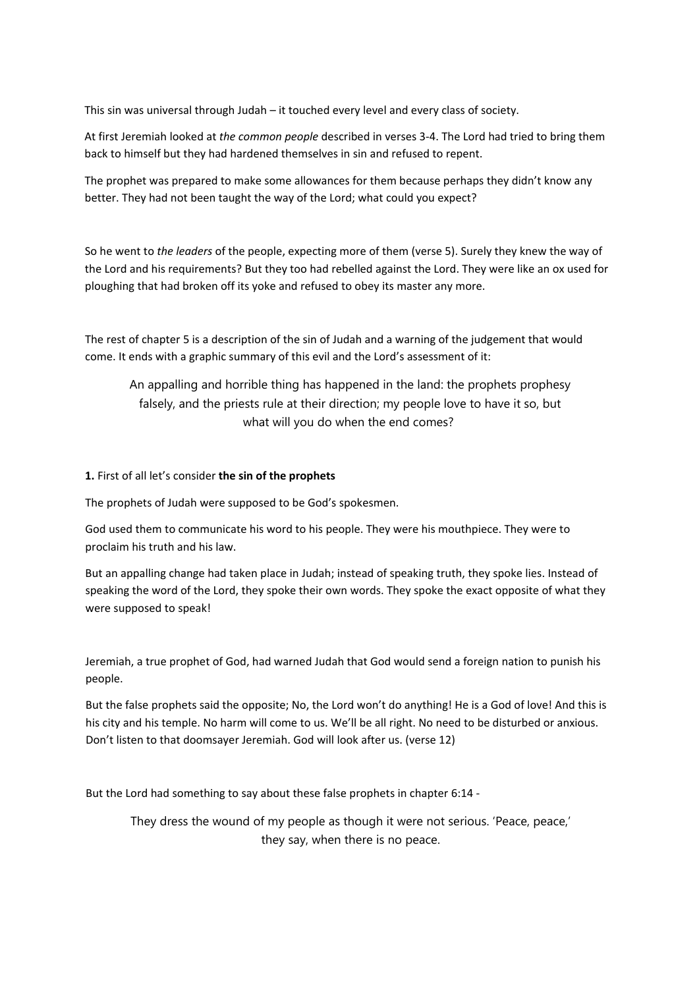This sin was universal through Judah – it touched every level and every class of society.

At first Jeremiah looked at *the common people* described in verses 3‐4. The Lord had tried to bring them back to himself but they had hardened themselves in sin and refused to repent.

The prophet was prepared to make some allowances for them because perhaps they didn't know any better. They had not been taught the way of the Lord; what could you expect?

So he went to *the leaders* of the people, expecting more of them (verse 5). Surely they knew the way of the Lord and his requirements? But they too had rebelled against the Lord. They were like an ox used for ploughing that had broken off its yoke and refused to obey its master any more.

The rest of chapter 5 is a description of the sin of Judah and a warning of the judgement that would come. It ends with a graphic summary of this evil and the Lord's assessment of it:

An appalling and horrible thing has happened in the land: the prophets prophesy falsely, and the priests rule at their direction; my people love to have it so, but what will you do when the end comes?

# **1.** First of all let's consider **the sin of the prophets**

The prophets of Judah were supposed to be God's spokesmen.

God used them to communicate his word to his people. They were his mouthpiece. They were to proclaim his truth and his law.

But an appalling change had taken place in Judah; instead of speaking truth, they spoke lies. Instead of speaking the word of the Lord, they spoke their own words. They spoke the exact opposite of what they were supposed to speak!

Jeremiah, a true prophet of God, had warned Judah that God would send a foreign nation to punish his people.

But the false prophets said the opposite; No, the Lord won't do anything! He is a God of love! And this is his city and his temple. No harm will come to us. We'll be all right. No need to be disturbed or anxious. Don't listen to that doomsayer Jeremiah. God will look after us. (verse 12)

But the Lord had something to say about these false prophets in chapter 6:14 ‐

They dress the wound of my people as though it were not serious. 'Peace, peace,' they say, when there is no peace.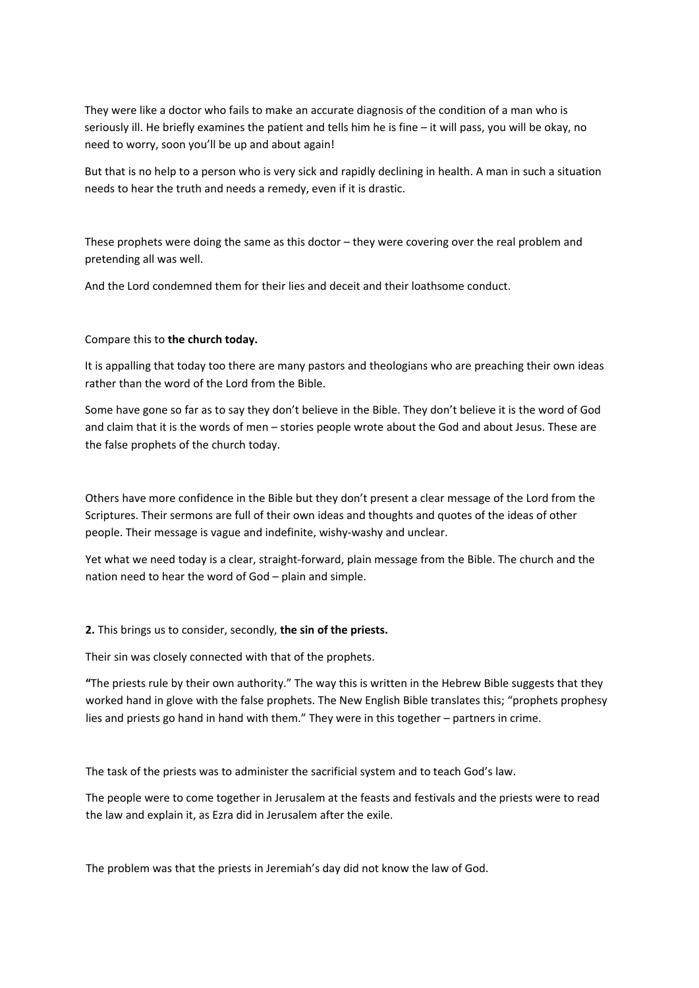They were like a doctor who fails to make an accurate diagnosis of the condition of a man who is seriously ill. He briefly examines the patient and tells him he is fine – it will pass, you will be okay, no need to worry, soon you'll be up and about again!

But that is no help to a person who is very sick and rapidly declining in health. A man in such a situation needs to hear the truth and needs a remedy, even if it is drastic.

These prophets were doing the same as this doctor – they were covering over the real problem and pretending all was well.

And the Lord condemned them for their lies and deceit and their loathsome conduct.

# Compare this to **the church today.**

It is appalling that today too there are many pastors and theologians who are preaching their own ideas rather than the word of the Lord from the Bible.

Some have gone so far as to say they don't believe in the Bible. They don't believe it is the word of God and claim that it is the words of men – stories people wrote about the God and about Jesus. These are the false prophets of the church today.

Others have more confidence in the Bible but they don't present a clear message of the Lord from the Scriptures. Their sermons are full of their own ideas and thoughts and quotes of the ideas of other people. Their message is vague and indefinite, wishy‐washy and unclear.

Yet what we need today is a clear, straight‐forward, plain message from the Bible. The church and the nation need to hear the word of God – plain and simple.

### **2.** This brings us to consider, secondly, **the sin of the priests.**

Their sin was closely connected with that of the prophets.

**"**The priests rule by their own authority." The way this is written in the Hebrew Bible suggests that they worked hand in glove with the false prophets. The New English Bible translates this; "prophets prophesy lies and priests go hand in hand with them." They were in this together – partners in crime.

The task of the priests was to administer the sacrificial system and to teach God's law.

The people were to come together in Jerusalem at the feasts and festivals and the priests were to read the law and explain it, as Ezra did in Jerusalem after the exile.

The problem was that the priests in Jeremiah's day did not know the law of God.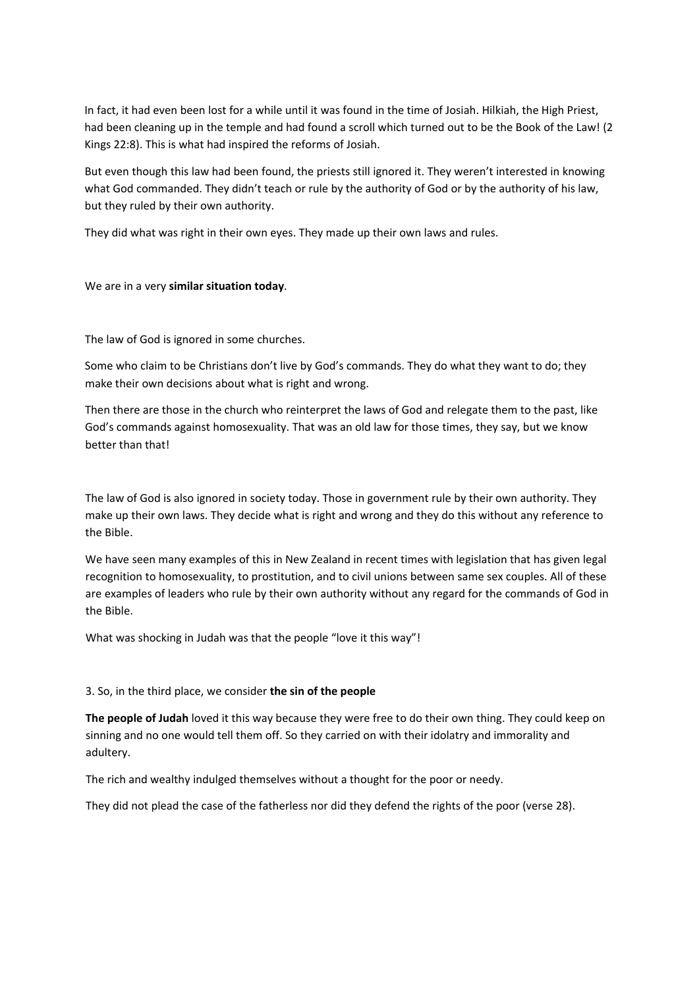In fact, it had even been lost for a while until it was found in the time of Josiah. Hilkiah, the High Priest, had been cleaning up in the temple and had found a scroll which turned out to be the Book of the Law! (2 Kings 22:8). This is what had inspired the reforms of Josiah.

But even though this law had been found, the priests still ignored it. They weren't interested in knowing what God commanded. They didn't teach or rule by the authority of God or by the authority of his law, but they ruled by their own authority.

They did what was right in their own eyes. They made up their own laws and rules.

We are in a very **similar situation today**.

The law of God is ignored in some churches.

Some who claim to be Christians don't live by God's commands. They do what they want to do; they make their own decisions about what is right and wrong.

Then there are those in the church who reinterpret the laws of God and relegate them to the past, like God's commands against homosexuality. That was an old law for those times, they say, but we know better than that!

The law of God is also ignored in society today. Those in government rule by their own authority. They make up their own laws. They decide what is right and wrong and they do this without any reference to the Bible.

We have seen many examples of this in New Zealand in recent times with legislation that has given legal recognition to homosexuality, to prostitution, and to civil unions between same sex couples. All of these are examples of leaders who rule by their own authority without any regard for the commands of God in the Bible.

What was shocking in Judah was that the people "love it this way"!

# 3. So, in the third place, we consider **the sin of the people**

**The people of Judah** loved it this way because they were free to do their own thing. They could keep on sinning and no one would tell them off. So they carried on with their idolatry and immorality and adultery.

The rich and wealthy indulged themselves without a thought for the poor or needy.

They did not plead the case of the fatherless nor did they defend the rights of the poor (verse 28).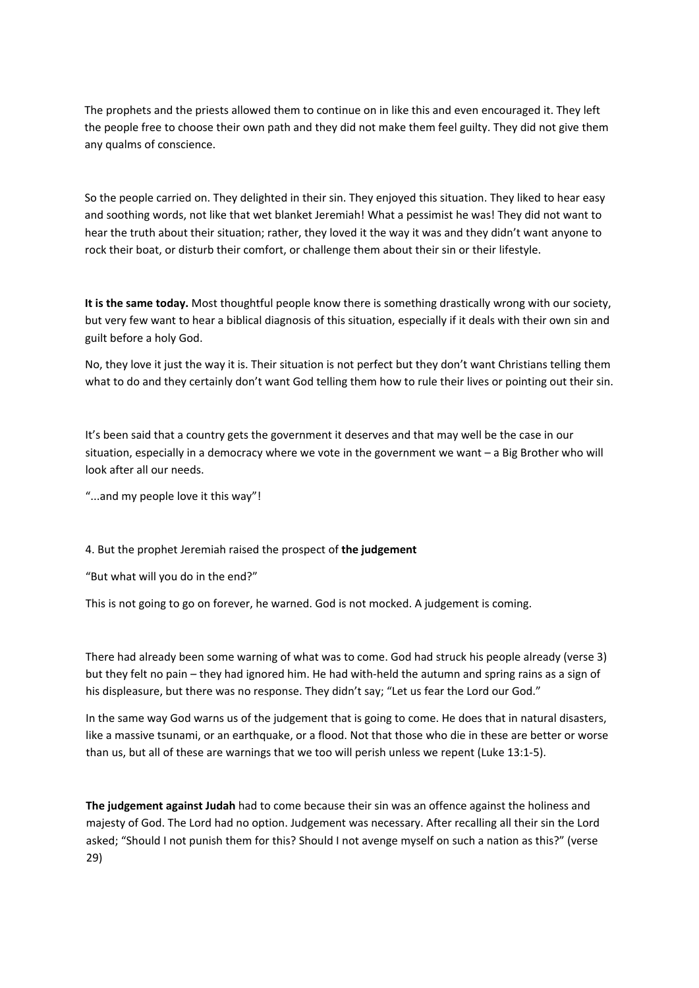The prophets and the priests allowed them to continue on in like this and even encouraged it. They left the people free to choose their own path and they did not make them feel guilty. They did not give them any qualms of conscience.

So the people carried on. They delighted in their sin. They enjoyed this situation. They liked to hear easy and soothing words, not like that wet blanket Jeremiah! What a pessimist he was! They did not want to hear the truth about their situation; rather, they loved it the way it was and they didn't want anyone to rock their boat, or disturb their comfort, or challenge them about their sin or their lifestyle.

**It is the same today.** Most thoughtful people know there is something drastically wrong with our society, but very few want to hear a biblical diagnosis of this situation, especially if it deals with their own sin and guilt before a holy God.

No, they love it just the way it is. Their situation is not perfect but they don't want Christians telling them what to do and they certainly don't want God telling them how to rule their lives or pointing out their sin.

It's been said that a country gets the government it deserves and that may well be the case in our situation, especially in a democracy where we vote in the government we want – a Big Brother who will look after all our needs.

"...and my people love it this way"!

### 4. But the prophet Jeremiah raised the prospect of **the judgement**

"But what will you do in the end?"

This is not going to go on forever, he warned. God is not mocked. A judgement is coming.

There had already been some warning of what was to come. God had struck his people already (verse 3) but they felt no pain – they had ignored him. He had with-held the autumn and spring rains as a sign of his displeasure, but there was no response. They didn't say; "Let us fear the Lord our God."

In the same way God warns us of the judgement that is going to come. He does that in natural disasters, like a massive tsunami, or an earthquake, or a flood. Not that those who die in these are better or worse than us, but all of these are warnings that we too will perish unless we repent (Luke 13:1‐5).

**The judgement against Judah** had to come because their sin was an offence against the holiness and majesty of God. The Lord had no option. Judgement was necessary. After recalling all their sin the Lord asked; "Should I not punish them for this? Should I not avenge myself on such a nation as this?" (verse 29)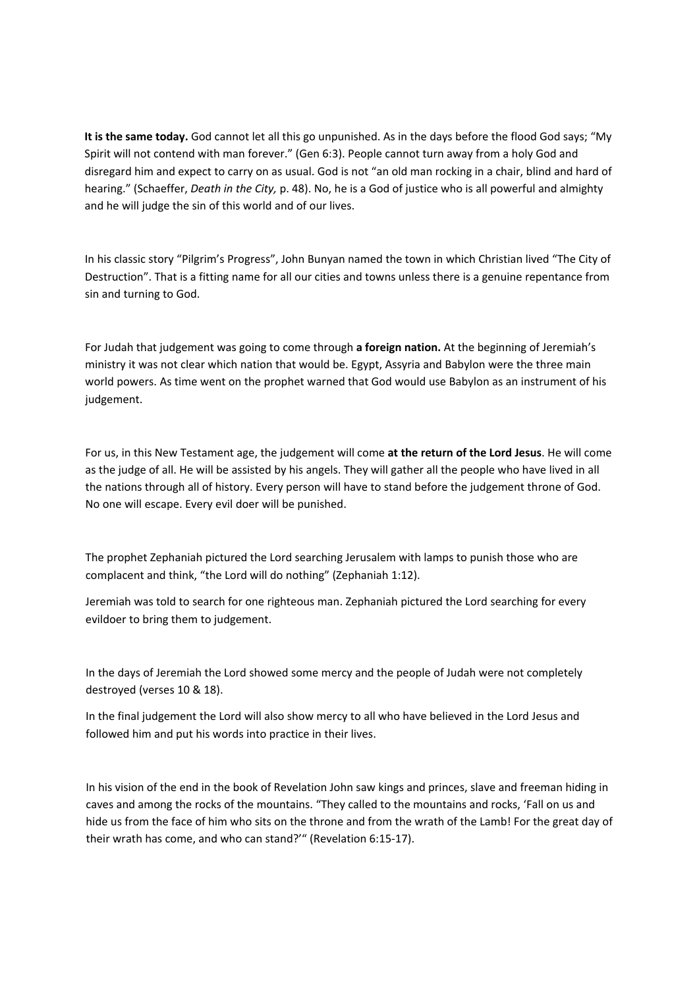**It is the same today.** God cannot let all this go unpunished. As in the days before the flood God says; "My Spirit will not contend with man forever." (Gen 6:3). People cannot turn away from a holy God and disregard him and expect to carry on as usual. God is not "an old man rocking in a chair, blind and hard of hearing." (Schaeffer, *Death in the City,* p. 48). No, he is a God of justice who is all powerful and almighty and he will judge the sin of this world and of our lives.

In his classic story "Pilgrim's Progress", John Bunyan named the town in which Christian lived "The City of Destruction". That is a fitting name for all our cities and towns unless there is a genuine repentance from sin and turning to God.

For Judah that judgement was going to come through **a foreign nation.** At the beginning of Jeremiah's ministry it was not clear which nation that would be. Egypt, Assyria and Babylon were the three main world powers. As time went on the prophet warned that God would use Babylon as an instrument of his judgement.

For us, in this New Testament age, the judgement will come **at the return of the Lord Jesus**. He will come as the judge of all. He will be assisted by his angels. They will gather all the people who have lived in all the nations through all of history. Every person will have to stand before the judgement throne of God. No one will escape. Every evil doer will be punished.

The prophet Zephaniah pictured the Lord searching Jerusalem with lamps to punish those who are complacent and think, "the Lord will do nothing" (Zephaniah 1:12).

Jeremiah was told to search for one righteous man. Zephaniah pictured the Lord searching for every evildoer to bring them to judgement.

In the days of Jeremiah the Lord showed some mercy and the people of Judah were not completely destroyed (verses 10 & 18).

In the final judgement the Lord will also show mercy to all who have believed in the Lord Jesus and followed him and put his words into practice in their lives.

In his vision of the end in the book of Revelation John saw kings and princes, slave and freeman hiding in caves and among the rocks of the mountains. "They called to the mountains and rocks, 'Fall on us and hide us from the face of him who sits on the throne and from the wrath of the Lamb! For the great day of their wrath has come, and who can stand?'" (Revelation 6:15‐17).